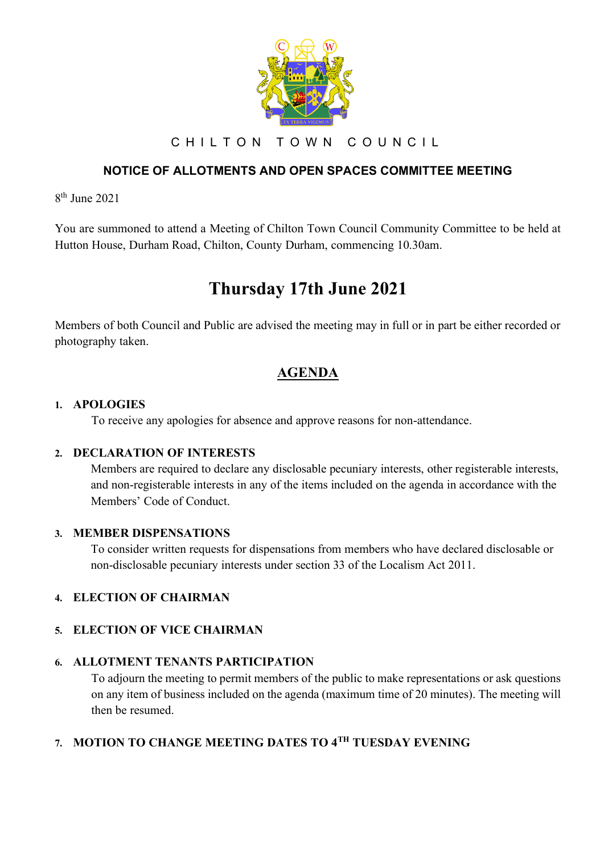

C H I L T O N T O W N C O U N C I L

## **NOTICE OF ALLOTMENTS AND OPEN SPACES COMMITTEE MEETING**

8 th June 2021

You are summoned to attend a Meeting of Chilton Town Council Community Committee to be held at Hutton House, Durham Road, Chilton, County Durham, commencing 10.30am.

# **Thursday 17th June 2021**

Members of both Council and Public are advised the meeting may in full or in part be either recorded or photography taken.

# **AGENDA**

#### **1. APOLOGIES**

To receive any apologies for absence and approve reasons for non-attendance.

#### **2. DECLARATION OF INTERESTS**

Members are required to declare any disclosable pecuniary interests, other registerable interests, and non-registerable interests in any of the items included on the agenda in accordance with the Members' Code of Conduct.

#### **3. MEMBER DISPENSATIONS**

To consider written requests for dispensations from members who have declared disclosable or non-disclosable pecuniary interests under section 33 of the Localism Act 2011.

#### **4. ELECTION OF CHAIRMAN**

#### **5. ELECTION OF VICE CHAIRMAN**

## **6. ALLOTMENT TENANTS PARTICIPATION**

To adjourn the meeting to permit members of the public to make representations or ask questions on any item of business included on the agenda (maximum time of 20 minutes). The meeting will then be resumed.

# **7. MOTION TO CHANGE MEETING DATES TO 4TH TUESDAY EVENING**